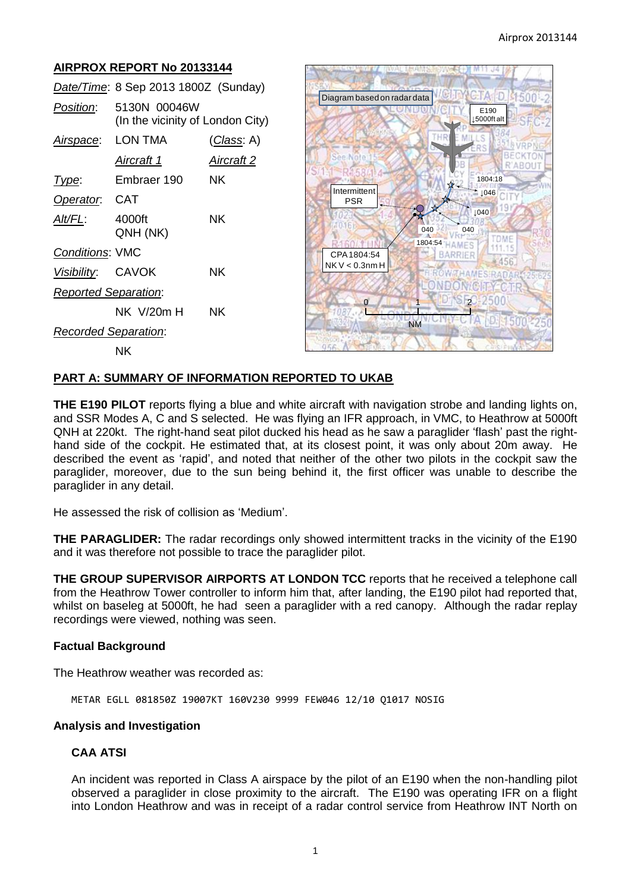# **AIRPROX REPORT No 20133144**

|                             | Date/Time: 8 Sep 2013 1800Z (Sunday)             |                   |
|-----------------------------|--------------------------------------------------|-------------------|
| <i>Position</i> :           | 5130N 00046W<br>(In the vicinity of London City) |                   |
| Airspace: LON TMA           |                                                  | (Class: A)        |
|                             | Aircraft 1                                       | <b>Aircraft 2</b> |
| Type:                       | Embraer 190                                      | NΚ                |
| Operator. CAT               |                                                  |                   |
| <u>Alt/FL:</u>              | 4000ft<br>QNH (NK)                               | ΝK                |
| <b>Conditions: VMC</b>      |                                                  |                   |
| Visibility: CAVOK           |                                                  | ΝK                |
| <b>Reported Separation:</b> |                                                  |                   |
|                             | NK  V/20m H                                      | ΝK                |
| <b>Recorded Separation:</b> |                                                  |                   |
|                             | NΚ                                               |                   |



## **PART A: SUMMARY OF INFORMATION REPORTED TO UKAB**

**THE E190 PILOT** reports flying a blue and white aircraft with navigation strobe and landing lights on, and SSR Modes A, C and S selected. He was flying an IFR approach, in VMC, to Heathrow at 5000ft QNH at 220kt. The right-hand seat pilot ducked his head as he saw a paraglider 'flash' past the righthand side of the cockpit. He estimated that, at its closest point, it was only about 20m away. He described the event as 'rapid', and noted that neither of the other two pilots in the cockpit saw the paraglider, moreover, due to the sun being behind it, the first officer was unable to describe the paraglider in any detail.

He assessed the risk of collision as 'Medium'.

**THE PARAGLIDER:** The radar recordings only showed intermittent tracks in the vicinity of the E190 and it was therefore not possible to trace the paraglider pilot.

**THE GROUP SUPERVISOR AIRPORTS AT LONDON TCC** reports that he received a telephone call from the Heathrow Tower controller to inform him that, after landing, the E190 pilot had reported that, whilst on baseleg at 5000ft, he had seen a paraglider with a red canopy. Although the radar replay recordings were viewed, nothing was seen.

### **Factual Background**

The Heathrow weather was recorded as:

METAR EGLL 081850Z 19007KT 160V230 9999 FEW046 12/10 Q1017 NOSIG

### **Analysis and Investigation**

## **CAA ATSI**

An incident was reported in Class A airspace by the pilot of an E190 when the non-handling pilot observed a paraglider in close proximity to the aircraft. The E190 was operating IFR on a flight into London Heathrow and was in receipt of a radar control service from Heathrow INT North on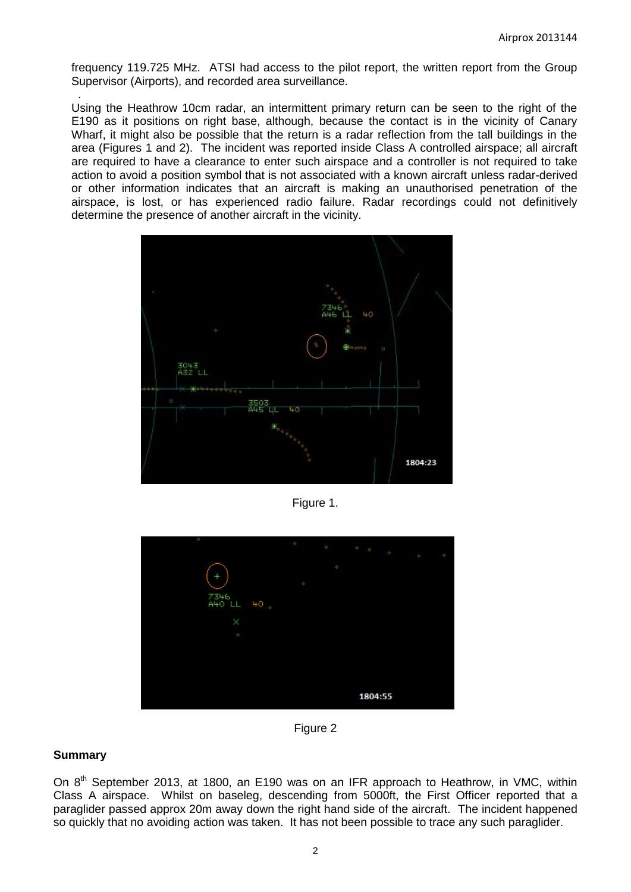frequency 119.725 MHz. ATSI had access to the pilot report, the written report from the Group Supervisor (Airports), and recorded area surveillance.

Using the Heathrow 10cm radar, an intermittent primary return can be seen to the right of the E190 as it positions on right base, although, because the contact is in the vicinity of Canary Wharf, it might also be possible that the return is a radar reflection from the tall buildings in the area (Figures 1 and 2). The incident was reported inside Class A controlled airspace; all aircraft are required to have a clearance to enter such airspace and a controller is not required to take action to avoid a position symbol that is not associated with a known aircraft unless radar-derived or other information indicates that an aircraft is making an unauthorised penetration of the airspace, is lost, or has experienced radio failure. Radar recordings could not definitively determine the presence of another aircraft in the vicinity.



Figure 1.



Figure 2

## **Summary**

.

On  $8<sup>th</sup>$  September 2013, at 1800, an E190 was on an IFR approach to Heathrow, in VMC, within Class A airspace. Whilst on baseleg, descending from 5000ft, the First Officer reported that a paraglider passed approx 20m away down the right hand side of the aircraft. The incident happened so quickly that no avoiding action was taken. It has not been possible to trace any such paraglider.